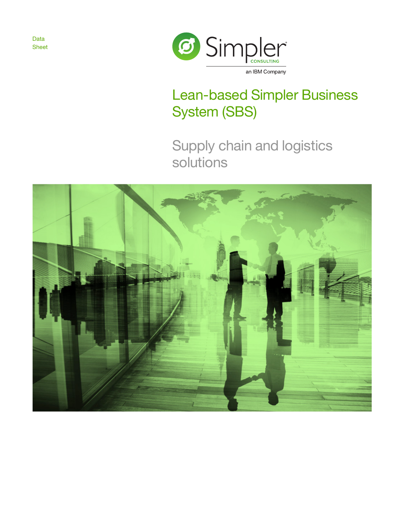Data Sheet



# Lean-based Simpler Business System (SBS)

Supply chain and logistics solutions

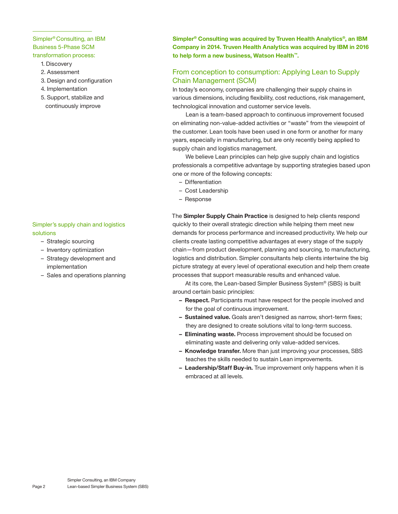#### Simpler® Consulting, an IBM Business 5-Phase SCM transformation process:

- 1. Discovery
- 2. Assessment
- 3. Design and configuration
- 4. Implementation
- 5. Support, stabilize and continuously improve

#### Simpler's supply chain and logistics solutions

- Strategic sourcing
- Inventory optimization
- Strategy development and implementation
- Sales and operations planning

**Simpler® Consulting was acquired by Truven Health Analytics®, an IBM Company in 2014. Truven Health Analytics was acquired by IBM in 2016 to help form a new business, Watson Health™.**

## From conception to consumption: Applying Lean to Supply Chain Management (SCM)

In today's economy, companies are challenging their supply chains in various dimensions, including flexibility, cost reductions, risk management, technological innovation and customer service levels.

Lean is a team-based approach to continuous improvement focused on eliminating non-value-added activities or "waste" from the viewpoint of the customer. Lean tools have been used in one form or another for many years, especially in manufacturing, but are only recently being applied to supply chain and logistics management.

We believe Lean principles can help give supply chain and logistics professionals a competitive advantage by supporting strategies based upon one or more of the following concepts:

- Differentiation
- Cost Leadership
- Response

The **Simpler Supply Chain Practice** is designed to help clients respond quickly to their overall strategic direction while helping them meet new demands for process performance and increased productivity. We help our clients create lasting competitive advantages at every stage of the supply chain—from product development, planning and sourcing, to manufacturing, logistics and distribution. Simpler consultants help clients intertwine the big picture strategy at every level of operational execution and help them create processes that support measurable results and enhanced value.

At its core, the Lean-based Simpler Business System® (SBS) is built around certain basic principles:

- **Respect.** Participants must have respect for the people involved and for the goal of continuous improvement.
- **Sustained value.** Goals aren't designed as narrow, short-term fixes; they are designed to create solutions vital to long-term success.
- **Eliminating waste.** Process improvement should be focused on eliminating waste and delivering only value-added services.
- **Knowledge transfer.** More than just improving your processes, SBS teaches the skills needed to sustain Lean improvements.
- **Leadership/Staff Buy-in.** True improvement only happens when it is embraced at all levels.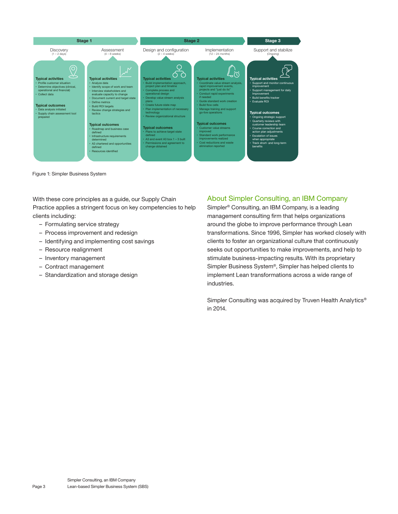

Figure 1: Simpler Business System

With these core principles as a guide, our Supply Chain Practice applies a stringent focus on key competencies to help clients including:

- Formulating service strategy
- Process improvement and redesign
- Identifying and implementing cost savings
- Resource realignment
- Inventory management
- Contract management
- Standardization and storage design

### About Simpler Consulting, an IBM Company

Simpler® Consulting, an IBM Company, is a leading management consulting firm that helps organizations around the globe to improve performance through Lean transformations. Since 1996, Simpler has worked closely with clients to foster an organizational culture that continuously seeks out opportunities to make improvements, and help to stimulate business-impacting results. With its proprietary Simpler Business System®, Simpler has helped clients to implement Lean transformations across a wide range of industries.

Simpler Consulting was acquired by Truven Health Analytics<sup>®</sup> in 2014.